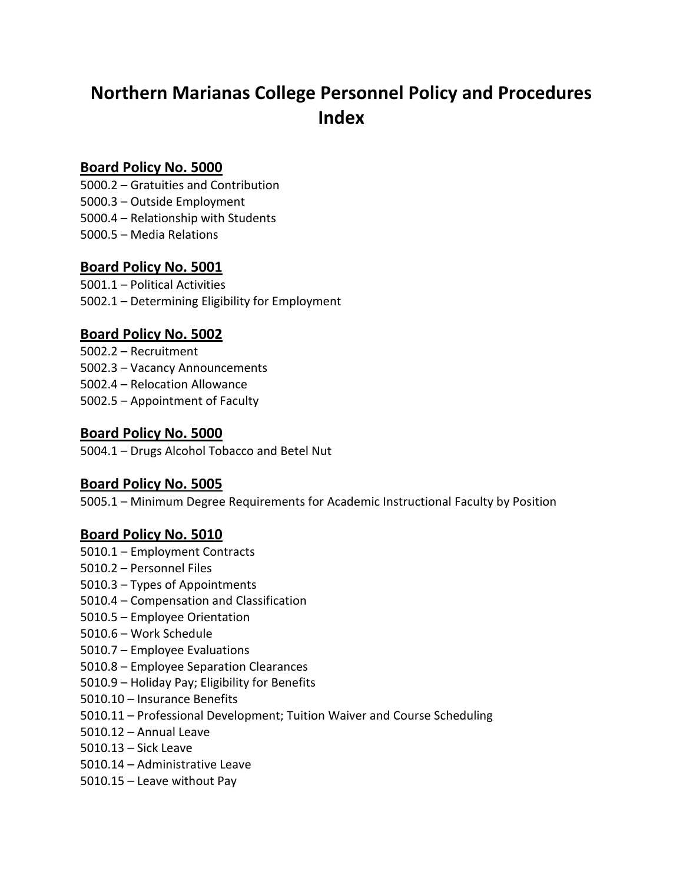# **Northern Marianas College Personnel Policy and Procedures Index**

### **Board Policy No. 5000**

- 5000.2 Gratuities and Contribution
- 5000.3 Outside Employment
- 5000.4 Relationship with Students
- 5000.5 Media Relations

## **Board Policy No. 5001**

5001.1 – Political Activities 5002.1 – Determining Eligibility for Employment

## **Board Policy No. 5002**

- 5002.2 Recruitment
- 5002.3 Vacancy Announcements
- 5002.4 Relocation Allowance
- 5002.5 Appointment of Faculty

### **Board Policy No. 5000**

5004.1 – Drugs Alcohol Tobacco and Betel Nut

## **Board Policy No. 5005**

5005.1 – Minimum Degree Requirements for Academic Instructional Faculty by Position

#### **Board Policy No. 5010**

- 5010.1 Employment Contracts
- 5010.2 Personnel Files
- 5010.3 Types of Appointments
- 5010.4 Compensation and Classification
- 5010.5 Employee Orientation
- 5010.6 Work Schedule
- 5010.7 Employee Evaluations
- 5010.8 Employee Separation Clearances
- 5010.9 Holiday Pay; Eligibility for Benefits
- 5010.10 Insurance Benefits
- 5010.11 Professional Development; Tuition Waiver and Course Scheduling
- 5010.12 Annual Leave
- 5010.13 Sick Leave
- 5010.14 Administrative Leave
- 5010.15 Leave without Pay